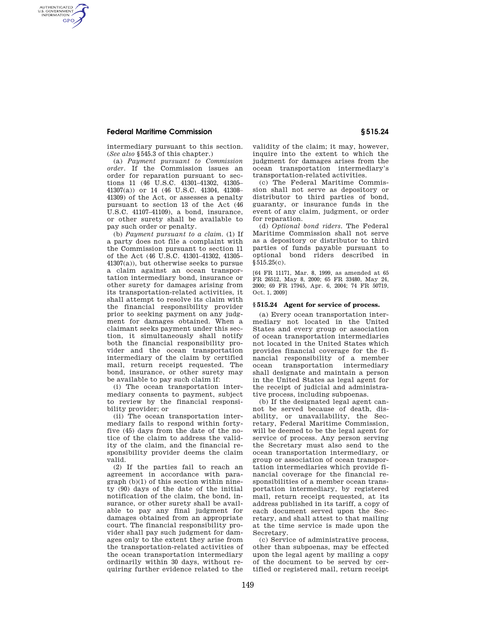## **Federal Maritime Commission § 515.24**

AUTHENTICATED<br>U.S. GOVERNMENT<br>INFORMATION **GPO** 

> intermediary pursuant to this section. (*See also* §545.3 of this chapter.)

> (a) *Payment pursuant to Commission order.* If the Commission issues an order for reparation pursuant to sections 11 (46 U.S.C. 41301–41302, 41305– 41307(a)) or 14 (46 U.S.C. 41304, 41308– 41309) of the Act, or assesses a penalty pursuant to section 13 of the Act (46 U.S.C. 41107–41109), a bond, insurance, or other surety shall be available to pay such order or penalty.

(b) *Payment pursuant to a claim.* (1) If a party does not file a complaint with the Commission pursuant to section 11 of the Act (46 U.S.C. 41301–41302, 41305– 41307(a)), but otherwise seeks to pursue a claim against an ocean transportation intermediary bond, insurance or other surety for damages arising from its transportation-related activities, it shall attempt to resolve its claim with the financial responsibility provider prior to seeking payment on any judgment for damages obtained. When a claimant seeks payment under this section, it simultaneously shall notify both the financial responsibility provider and the ocean transportation intermediary of the claim by certified mail, return receipt requested. The bond, insurance, or other surety may be available to pay such claim if:

(i) The ocean transportation intermediary consents to payment, subject to review by the financial responsibility provider; or

(ii) The ocean transportation intermediary fails to respond within fortyfive (45) days from the date of the notice of the claim to address the validity of the claim, and the financial responsibility provider deems the claim valid.

(2) If the parties fail to reach an agreement in accordance with paragraph (b)(1) of this section within ninety (90) days of the date of the initial notification of the claim, the bond, insurance, or other surety shall be available to pay any final judgment for damages obtained from an appropriate court. The financial responsibility provider shall pay such judgment for damages only to the extent they arise from the transportation-related activities of the ocean transportation intermediary ordinarily within 30 days, without requiring further evidence related to the

validity of the claim; it may, however, inquire into the extent to which the judgment for damages arises from the ocean transportation intermediary's transportation-related activities.

(c) The Federal Maritime Commission shall not serve as depository or distributor to third parties of bond, guaranty, or insurance funds in the event of any claim, judgment, or order for reparation.

(d) *Optional bond riders.* The Federal Maritime Commission shall not serve as a depository or distributor to third parties of funds payable pursuant to optional bond riders described in §515.25(c).

[64 FR 11171, Mar. 8, 1999, as amended at 65 FR 26512, May 8, 2000; 65 FR 33480, May 24, 2000; 69 FR 17945, Apr. 6, 2004; 74 FR 50719, Oct. 1, 2009]

### **§ 515.24 Agent for service of process.**

(a) Every ocean transportation intermediary not located in the United States and every group or association of ocean transportation intermediaries not located in the United States which provides financial coverage for the financial responsibility of a member ocean transportation intermediary shall designate and maintain a person in the United States as legal agent for the receipt of judicial and administrative process, including subpoenas.

(b) If the designated legal agent cannot be served because of death, disability, or unavailability, the Secretary, Federal Maritime Commission, will be deemed to be the legal agent for service of process. Any person serving the Secretary must also send to the ocean transportation intermediary, or group or association of ocean transportation intermediaries which provide financial coverage for the financial responsibilities of a member ocean transportation intermediary, by registered mail, return receipt requested, at its address published in its tariff, a copy of each document served upon the Secretary, and shall attest to that mailing at the time service is made upon the Secretary.

(c) Service of administrative process, other than subpoenas, may be effected upon the legal agent by mailing a copy of the document to be served by certified or registered mail, return receipt